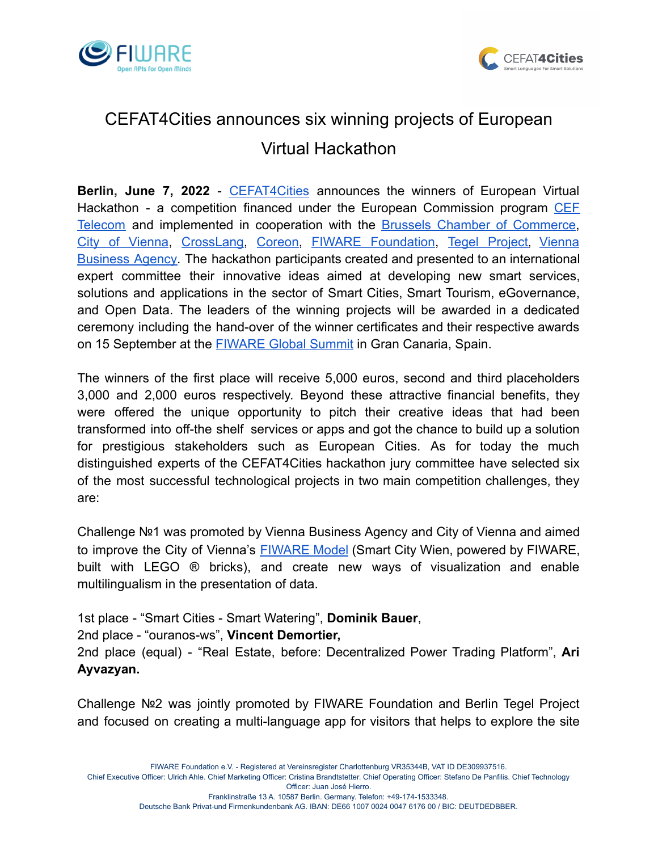



## CEFAT4Cities announces six winning projects of European Virtual Hackathon

**Berlin, June 7, 2022** - [CEFAT4Cities](https://cefat4cities.eu/) announces the winners of European Virtual Hackathon - a competition financed under the European Commission program [CEF](https://ec.europa.eu/inea/en/connecting-europe-facility/cef-telecom) [Telecom](https://ec.europa.eu/inea/en/connecting-europe-facility/cef-telecom) and implemented in cooperation with the Brussels Chamber of [Commerce](https://www.beci.be/), City of [Vienna,](https://www.wien.gv.at/english/) [CrossLang,](https://www.crosslang.com/en) [Coreon](https://www.coreon.com/), FIWARE [Foundation,](https://www.fiware.org/) Tegel [Project](https://www.berlintxl.de/), [Vienna](https://viennabusinessagency.at/) [Business](https://viennabusinessagency.at/) Agency. The hackathon participants created and presented to an international expert committee their innovative ideas aimed at developing new smart services, solutions and applications in the sector of Smart Cities, Smart Tourism, eGovernance, and Open Data. The leaders of the winning projects will be awarded in a dedicated ceremony including the hand-over of the winner certificates and their respective awards on 15 September at the **[FIWARE Global Summit](https://www.fiware.org/global-summit/)** in Gran Canaria, Spain.

The winners of the first place will receive 5,000 euros, second and third placeholders 3,000 and 2,000 euros respectively. Beyond these attractive financial benefits, they were offered the unique opportunity to pitch their creative ideas that had been transformed into off-the shelf services or apps and got the chance to build up a solution for prestigious stakeholders such as European Cities. As for today the much distinguished experts of the CEFAT4Cities hackathon jury committee have selected six of the most successful technological projects in two main competition challenges, they are:

Challenge №1 was promoted by Vienna Business Agency and City of Vienna and aimed to improve the City of Vienna's [FIWARE](https://digitales.wien.gv.at/site/en/smart-city-wien-powered-by-fiware-lego/) Model (Smart City Wien, powered by FIWARE, built with LEGO ® bricks), and create new ways of visualization and enable multilingualism in the presentation of data.

1st place - "Smart Cities - Smart Watering", **Dominik Bauer**, 2nd place - "ouranos-ws", **Vincent Demortier,** 2nd place (equal) - "Real Estate, before: Decentralized Power Trading Platform", **Ari Ayvazyan.**

Challenge №2 was jointly promoted by FIWARE Foundation and Berlin Tegel Project and focused on creating a multi-language app for visitors that helps to explore the site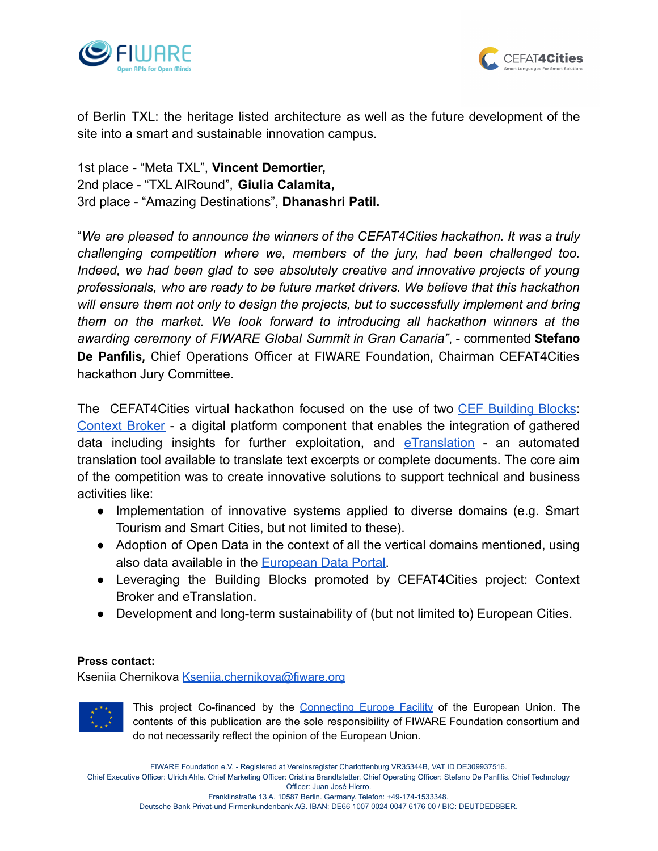



of Berlin TXL: the heritage listed architecture as well as the future development of the site into a smart and sustainable innovation campus.

1st place - "Meta TXL", **Vincent Demortier,** 2nd place - "TXL AIRound", **Giulia Calamita,** 3rd place - "Amazing Destinations", **Dhanashri Patil.**

"*We are pleased to announce the winners of the CEFAT4Cities hackathon. It was a truly challenging competition where we, members of the jury, had been challenged too. Indeed, we had been glad to see absolutely creative and innovative projects of young professionals, who are ready to be future market drivers. We believe that this hackathon will ensure them not only to design the projects, but to successfully implement and bring them on the market. We look forward to introducing all hackathon winners at the awarding ceremony of FIWARE Global Summit in Gran Canaria"*, - commented **Stefano De Panfilis,** Chief Operations Officer at FIWARE Foundation, Chairman CEFAT4Cities hackathon Jury Committee.

The CEFAT4Cities virtual hackathon focused on the use of two CEF [Building](https://ec.europa.eu/cefdigital/wiki/display/CEFDIGITAL/CEF+Digital+Home) Blocks: [Context](https://ec.europa.eu/cefdigital/wiki/display/CEFDIGITAL/Context+Broker) Broker - a digital platform component that enables the integration of gathered data including insights for further exploitation, and  $e$ Translation - an automated translation tool available to translate text excerpts or complete documents. The core aim of the competition was to create innovative solutions to support technical and business activities like:

- Implementation of innovative systems applied to diverse domains (e.g. Smart Tourism and Smart Cities, but not limited to these).
- Adoption of Open Data in the context of all the vertical domains mentioned, using also data available in the [European Data Portal.](https://data.europa.eu/en)
- Leveraging the Building Blocks promoted by CEFAT4Cities project: Context Broker and eTranslation.
- Development and long-term sustainability of (but not limited to) European Cities.

## **Press contact:**

Kseniia Chernikova [Kseniia.chernikova@fiware.org](mailto:Kseniia.chernikova@fiware.org)



This project Co-financed by the [Connecting](https://ec.europa.eu/cefdigital/wiki/display/CEFDIGITAL/CEF+Digital+Home) Europe Facility of the European Union. The contents of this publication are the sole responsibility of FIWARE Foundation consortium and do not necessarily reflect the opinion of the European Union.